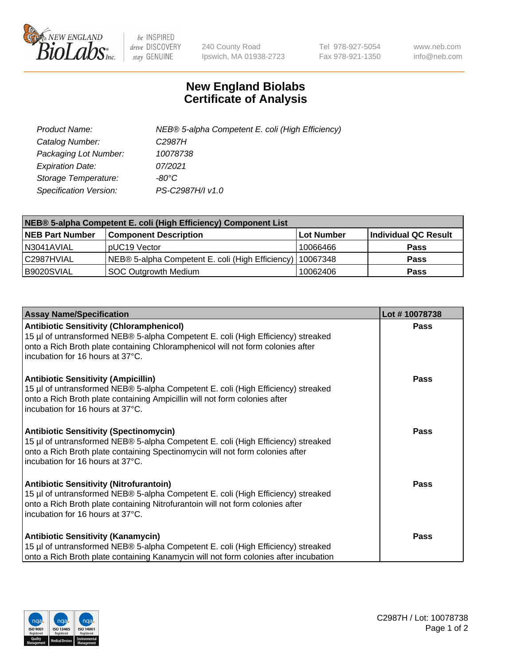

 $be$  INSPIRED drive DISCOVERY stay GENUINE

240 County Road Ipswich, MA 01938-2723 Tel 978-927-5054 Fax 978-921-1350 www.neb.com info@neb.com

## **New England Biolabs Certificate of Analysis**

| Product Name:           | NEB® 5-alpha Competent E. coli (High Efficiency) |
|-------------------------|--------------------------------------------------|
| Catalog Number:         | C <sub>2987</sub> H                              |
| Packaging Lot Number:   | 10078738                                         |
| <b>Expiration Date:</b> | 07/2021                                          |
| Storage Temperature:    | -80°C                                            |
| Specification Version:  | PS-C2987H/I v1.0                                 |

| NEB® 5-alpha Competent E. coli (High Efficiency) Component List |                                                  |            |                      |  |
|-----------------------------------------------------------------|--------------------------------------------------|------------|----------------------|--|
| <b>NEB Part Number</b>                                          | <b>Component Description</b>                     | Lot Number | Individual QC Result |  |
| N3041AVIAL                                                      | pUC19 Vector                                     | 10066466   | <b>Pass</b>          |  |
| C2987HVIAL                                                      | NEB® 5-alpha Competent E. coli (High Efficiency) | 10067348   | <b>Pass</b>          |  |
| B9020SVIAL                                                      | <b>SOC Outgrowth Medium</b>                      | 10062406   | <b>Pass</b>          |  |

| <b>Assay Name/Specification</b>                                                                                                                                                                                                                            | Lot #10078738 |
|------------------------------------------------------------------------------------------------------------------------------------------------------------------------------------------------------------------------------------------------------------|---------------|
| <b>Antibiotic Sensitivity (Chloramphenicol)</b><br>15 µl of untransformed NEB® 5-alpha Competent E. coli (High Efficiency) streaked<br>onto a Rich Broth plate containing Chloramphenicol will not form colonies after<br>incubation for 16 hours at 37°C. | <b>Pass</b>   |
| <b>Antibiotic Sensitivity (Ampicillin)</b><br>15 µl of untransformed NEB® 5-alpha Competent E. coli (High Efficiency) streaked<br>onto a Rich Broth plate containing Ampicillin will not form colonies after<br>incubation for 16 hours at 37°C.           | Pass          |
| <b>Antibiotic Sensitivity (Spectinomycin)</b><br>15 µl of untransformed NEB® 5-alpha Competent E. coli (High Efficiency) streaked<br>onto a Rich Broth plate containing Spectinomycin will not form colonies after<br>incubation for 16 hours at 37°C.     | <b>Pass</b>   |
| <b>Antibiotic Sensitivity (Nitrofurantoin)</b><br>15 µl of untransformed NEB® 5-alpha Competent E. coli (High Efficiency) streaked<br>onto a Rich Broth plate containing Nitrofurantoin will not form colonies after<br>incubation for 16 hours at 37°C.   | Pass          |
| <b>Antibiotic Sensitivity (Kanamycin)</b><br>15 µl of untransformed NEB® 5-alpha Competent E. coli (High Efficiency) streaked<br>onto a Rich Broth plate containing Kanamycin will not form colonies after incubation                                      | Pass          |